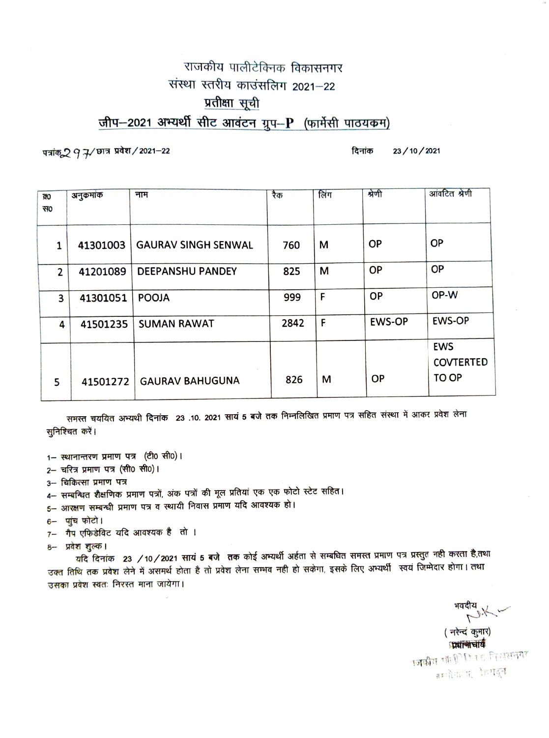## राजकीय पालीटेक्निक विकासनगर संस्था स्तरीय काउंसलिग 2021-22 प्रतीक्षा सूची

जीप-2021 अभ्यर्थी सीट आवंटन ग्रुप-P (फार्मेसी पाठयकम)

पत्रांक्2 9 7/ छात्र प्रवेश / 2021-22

दिनांक 23/10/2021

| ਕਹ                      | अनुकमांक | नाम                        | रैक  | लिंग | श्रेणी        | आंवटित श्रेणी                           |
|-------------------------|----------|----------------------------|------|------|---------------|-----------------------------------------|
| $H_0$                   |          |                            |      |      |               |                                         |
| 1                       | 41301003 | <b>GAURAV SINGH SENWAL</b> | 760  | M    | <b>OP</b>     | <b>OP</b>                               |
| $\overline{2}$          | 41201089 | <b>DEEPANSHU PANDEY</b>    | 825  | M    | <b>OP</b>     | <b>OP</b>                               |
| $\overline{\mathbf{3}}$ | 41301051 | <b>POOJA</b>               | 999  | F    | <b>OP</b>     | OP-W                                    |
| 4                       | 41501235 | <b>SUMAN RAWAT</b>         | 2842 | F    | <b>EWS-OP</b> | <b>EWS-OP</b>                           |
| 5                       | 41501272 | <b>GAURAV BAHUGUNA</b>     | 826  | м    | <b>OP</b>     | <b>EWS</b><br><b>COVTERTED</b><br>TO OP |

समस्त चययित अभ्यथी दिनांक 23 .10. 2021 सायं 5 बजे तक निम्नलिखित प्रमाण पत्र सहित संस्था में आकर प्रवेश लेना सुनिश्चित करें।

1- स्थानान्तरण प्रमाण पत्र (टी0 सी0)।

2- चरित्र प्रमाण पत्र (सी0 सी0)।

- 3- चिकित्सा प्रमाण पत्र
- 4– सम्बन्धित शैक्षणिक प्रमाण पत्रों, अंक पत्रों की मूल प्रतियां एक एक फोटो स्टेट सहित।

5– आरक्षण सम्बन्धी प्रमाण पत्र व स्थायी निवास प्रमाण यदि आवश्यक हो।

- 6- पांच फोटो।
- 7- गैप एफिडेविट यदि आवश्यक है तो ।

8- प्रवेश शुल्क।

यदि दिनांक 23 /10/2021 सायं 5 बजे तक कोई अभ्यर्थी अर्हता से सम्बधित समस्त प्रमाण पत्र प्रस्तुत नही करता है,तथा उक्त तिथि तक प्रवेश लेने में असमर्थ होता है तो प्रवेश लेना सम्भव नही हो सकेगा, इसके लिए अभ्यर्थी स्वयं जिम्मेदार होगा। तथा उसका प्रवेश स्वतः निरस्त माना जायेगा।

(नरेन्दं कुमार)

प्रधानाचार्य प**जकी**य पालिसिकर कितासनगर नम्योगाता, रेहरादून